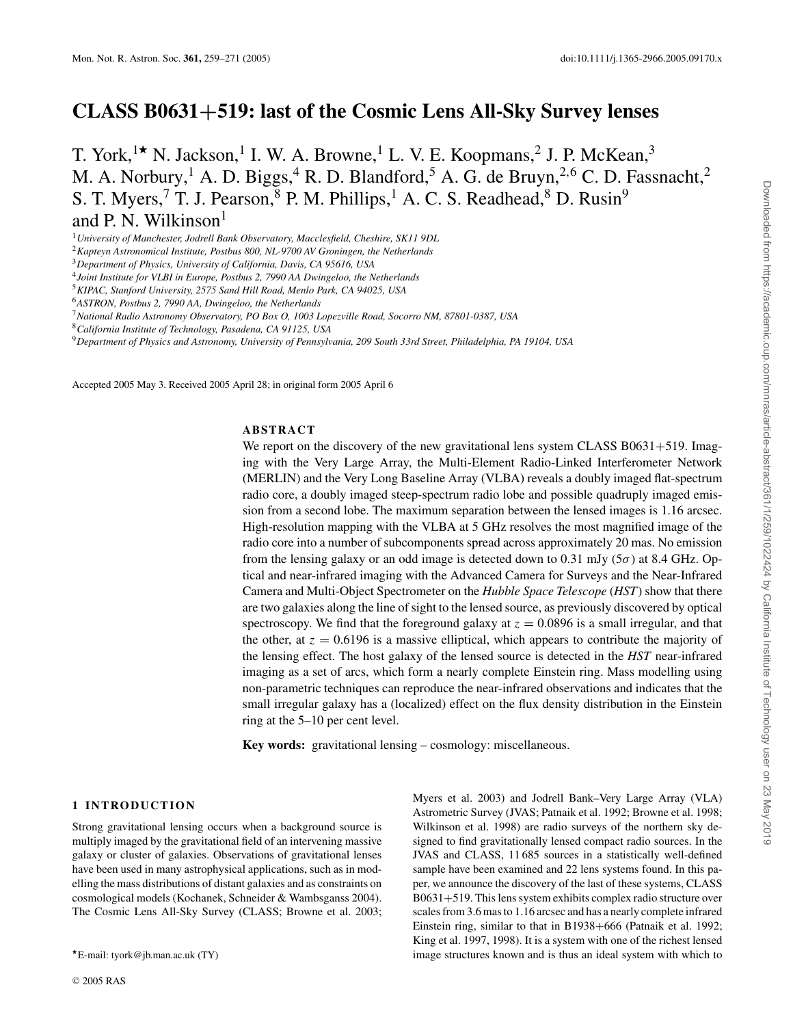# **CLASS B0631+519: last of the Cosmic Lens All-Sky Survey lenses**

T. York,  $\mathbf{R}^{\dagger}$  N. Jackson, <sup>1</sup> I. W. A. Browne, <sup>1</sup> L. V. E. Koopmans, <sup>2</sup> J. P. McKean, <sup>3</sup> M. A. Norbury,<sup>1</sup> A. D. Biggs,<sup>4</sup> R. D. Blandford,<sup>5</sup> A. G. de Bruyn,<sup>2,6</sup> C. D. Fassnacht,<sup>2</sup> S. T. Myers,<sup>7</sup> T. J. Pearson, <sup>8</sup> P. M. Phillips, <sup>1</sup> A. C. S. Readhead, <sup>8</sup> D. Rusin<sup>9</sup> and P. N. Wilkinson $<sup>1</sup>$ </sup>

<sup>1</sup>*University of Manchester, Jodrell Bank Observatory, Macclesfield, Cheshire, SK11 9DL*

<sup>2</sup>*Kapteyn Astronomical Institute, Postbus 800, NL-9700 AV Groningen, the Netherlands*

<sup>3</sup>*Department of Physics, University of California, Davis, CA 95616, USA*

<sup>4</sup>*Joint Institute for VLBI in Europe, Postbus 2, 7990 AA Dwingeloo, the Netherlands*

<sup>5</sup>*KIPAC, Stanford University, 2575 Sand Hill Road, Menlo Park, CA 94025, USA*

<sup>6</sup>*ASTRON, Postbus 2, 7990 AA, Dwingeloo, the Netherlands*

<sup>7</sup>*National Radio Astronomy Observatory, PO Box O, 1003 Lopezville Road, Socorro NM, 87801-0387, USA*

<sup>8</sup>*California Institute of Technology, Pasadena, CA 91125, USA*

<sup>9</sup>*Department of Physics and Astronomy, University of Pennsylvania, 209 South 33rd Street, Philadelphia, PA 19104, USA*

Accepted 2005 May 3. Received 2005 April 28; in original form 2005 April 6

#### **ABSTRACT**

We report on the discovery of the new gravitational lens system CLASS B0631+519. Imaging with the Very Large Array, the Multi-Element Radio-Linked Interferometer Network (MERLIN) and the Very Long Baseline Array (VLBA) reveals a doubly imaged flat-spectrum radio core, a doubly imaged steep-spectrum radio lobe and possible quadruply imaged emission from a second lobe. The maximum separation between the lensed images is 1.16 arcsec. High-resolution mapping with the VLBA at 5 GHz resolves the most magnified image of the radio core into a number of subcomponents spread across approximately 20 mas. No emission from the lensing galaxy or an odd image is detected down to 0.31 mJy ( $5\sigma$ ) at 8.4 GHz. Optical and near-infrared imaging with the Advanced Camera for Surveys and the Near-Infrared Camera and Multi-Object Spectrometer on the *Hubble Space Telescope* (*HST*) show that there are two galaxies along the line of sight to the lensed source, as previously discovered by optical spectroscopy. We find that the foreground galaxy at  $z = 0.0896$  is a small irregular, and that the other, at  $z = 0.6196$  is a massive elliptical, which appears to contribute the majority of the lensing effect. The host galaxy of the lensed source is detected in the *HST* near-infrared imaging as a set of arcs, which form a nearly complete Einstein ring. Mass modelling using non-parametric techniques can reproduce the near-infrared observations and indicates that the small irregular galaxy has a (localized) effect on the flux density distribution in the Einstein ring at the 5–10 per cent level.

**Key words:** gravitational lensing – cosmology: miscellaneous.

# **1 INTRODUCTION**

Strong gravitational lensing occurs when a background source is multiply imaged by the gravitational field of an intervening massive galaxy or cluster of galaxies. Observations of gravitational lenses have been used in many astrophysical applications, such as in modelling the mass distributions of distant galaxies and as constraints on cosmological models (Kochanek, Schneider & Wambsganss 2004). The Cosmic Lens All-Sky Survey (CLASS; Browne et al. 2003;

Myers et al. 2003) and Jodrell Bank–Very Large Array (VLA) Astrometric Survey (JVAS; Patnaik et al. 1992; Browne et al. 1998; Wilkinson et al. 1998) are radio surveys of the northern sky designed to find gravitationally lensed compact radio sources. In the JVAS and CLASS, 11 685 sources in a statistically well-defined sample have been examined and 22 lens systems found. In this paper, we announce the discovery of the last of these systems, CLASS B0631+519. This lens system exhibits complex radio structure over scales from 3.6 mas to 1.16 arcsec and has a nearly complete infrared Einstein ring, similar to that in B1938+666 (Patnaik et al. 1992; King et al. 1997, 1998). It is a system with one of the richest lensed image structures known and is thus an ideal system with which to

E-mail: tyork@jb.man.ac.uk (TY)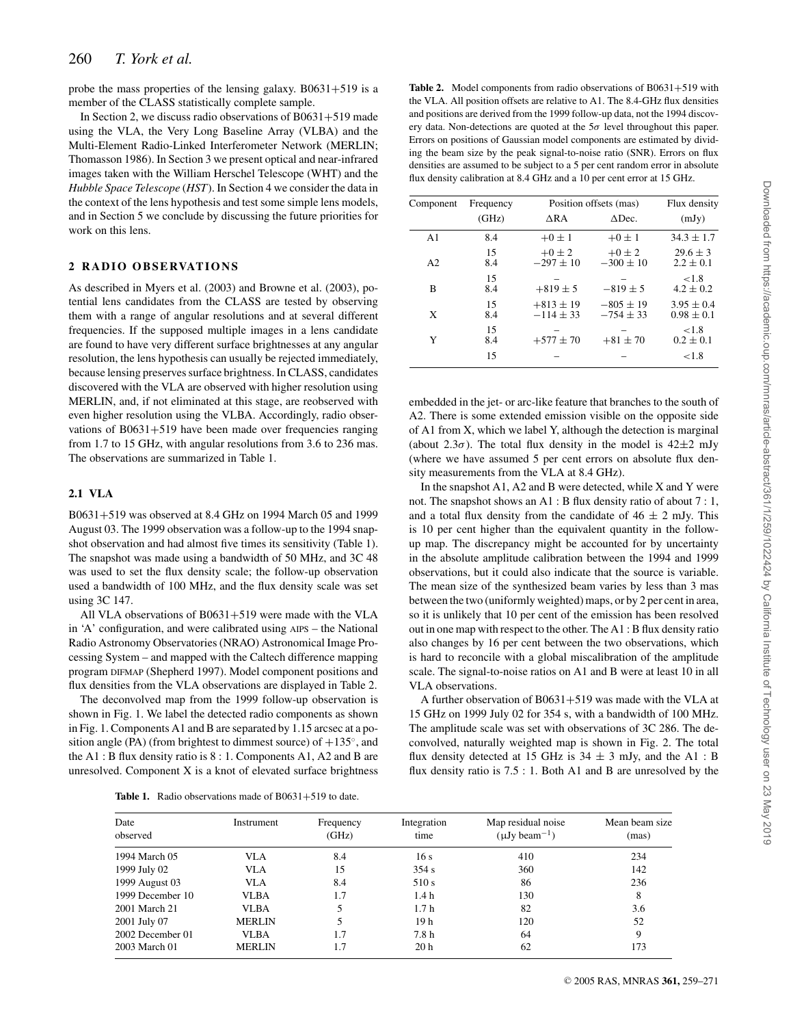probe the mass properties of the lensing galaxy.  $B0631+519$  is a member of the CLASS statistically complete sample.

In Section 2, we discuss radio observations of B0631+519 made using the VLA, the Very Long Baseline Array (VLBA) and the Multi-Element Radio-Linked Interferometer Network (MERLIN; Thomasson 1986). In Section 3 we present optical and near-infrared images taken with the William Herschel Telescope (WHT) and the *Hubble Space Telescope* (*HST*). In Section 4 we consider the data in the context of the lens hypothesis and test some simple lens models, and in Section 5 we conclude by discussing the future priorities for work on this lens.

# **2** RADIO OBSERVATIONS

As described in Myers et al. (2003) and Browne et al. (2003), potential lens candidates from the CLASS are tested by observing them with a range of angular resolutions and at several different frequencies. If the supposed multiple images in a lens candidate are found to have very different surface brightnesses at any angular resolution, the lens hypothesis can usually be rejected immediately, because lensing preserves surface brightness. In CLASS, candidates discovered with the VLA are observed with higher resolution using MERLIN, and, if not eliminated at this stage, are reobserved with even higher resolution using the VLBA. Accordingly, radio observations of B0631+519 have been made over frequencies ranging from 1.7 to 15 GHz, with angular resolutions from 3.6 to 236 mas. The observations are summarized in Table 1.

# **2.1 VLA**

B0631+519 was observed at 8.4 GHz on 1994 March 05 and 1999 August 03. The 1999 observation was a follow-up to the 1994 snapshot observation and had almost five times its sensitivity (Table 1). The snapshot was made using a bandwidth of 50 MHz, and 3C 48 was used to set the flux density scale; the follow-up observation used a bandwidth of 100 MHz, and the flux density scale was set using 3C 147.

All VLA observations of B0631+519 were made with the VLA in 'A' configuration, and were calibrated using AIPS – the National Radio Astronomy Observatories (NRAO) Astronomical Image Processing System – and mapped with the Caltech difference mapping program DIFMAP (Shepherd 1997). Model component positions and flux densities from the VLA observations are displayed in Table 2.

The deconvolved map from the 1999 follow-up observation is shown in Fig. 1. We label the detected radio components as shown in Fig. 1. Components A1 and B are separated by 1.15 arcsec at a position angle (PA) (from brightest to dimmest source) of  $+135^\circ$ , and the A1 : B flux density ratio is 8 : 1. Components A1, A2 and B are unresolved. Component X is a knot of elevated surface brightness

Table 1. Radio observations made of B0631+519 to date.

**Table 2.** Model components from radio observations of B0631+519 with the VLA. All position offsets are relative to A1. The 8.4-GHz flux densities and positions are derived from the 1999 follow-up data, not the 1994 discovery data. Non-detections are quoted at the  $5\sigma$  level throughout this paper. Errors on positions of Gaussian model components are estimated by dividing the beam size by the peak signal-to-noise ratio (SNR). Errors on flux densities are assumed to be subject to a 5 per cent random error in absolute flux density calibration at 8.4 GHz and a 10 per cent error at 15 GHz.

| Component      | Frequency | Position offsets (mas)       | Flux density                 |                                  |
|----------------|-----------|------------------------------|------------------------------|----------------------------------|
|                | (GHz)     | $\triangle$ RA               | $\triangle$ Dec.             | (mJy)                            |
| A <sub>1</sub> | 8.4       | $+0 \pm 1$                   | $+0 \pm 1$                   | $34.3 \pm 1.7$                   |
| A <sub>2</sub> | 15<br>8.4 | $+0\pm 2$<br>$-297 \pm 10$   | $+0\pm 2$<br>$-300 \pm 10$   | $29.6 \pm 3$<br>$2.2 \pm 0.1$    |
| B              | 15<br>8.4 | $+819 \pm 5$                 | $-819 \pm 5$                 | ${<}1.8$<br>$4.2 \pm 0.2$        |
| X              | 15<br>8.4 | $+813 \pm 19$<br>$-114 + 33$ | $-805 \pm 19$<br>$-754 + 33$ | $3.95 \pm 0.4$<br>$0.98 \pm 0.1$ |
| Y              | 15<br>8.4 | $+577 \pm 70$                | $+81 \pm 70$                 | ${<}1.8$<br>$0.2 \pm 0.1$        |
|                | 15        |                              |                              | ${<}1.8$                         |

embedded in the jet- or arc-like feature that branches to the south of A2. There is some extended emission visible on the opposite side of A1 from X, which we label Y, although the detection is marginal (about 2.3 $\sigma$ ). The total flux density in the model is 42 $\pm$ 2 mJy (where we have assumed 5 per cent errors on absolute flux density measurements from the VLA at 8.4 GHz).

In the snapshot A1, A2 and B were detected, while X and Y were not. The snapshot shows an A1: B flux density ratio of about 7: 1, and a total flux density from the candidate of  $46 \pm 2$  mJy. This is 10 per cent higher than the equivalent quantity in the followup map. The discrepancy might be accounted for by uncertainty in the absolute amplitude calibration between the 1994 and 1999 observations, but it could also indicate that the source is variable. The mean size of the synthesized beam varies by less than 3 mas between the two (uniformly weighted) maps, or by 2 per cent in area, so it is unlikely that 10 per cent of the emission has been resolved out in one map with respect to the other. The A1 : B flux density ratio also changes by 16 per cent between the two observations, which is hard to reconcile with a global miscalibration of the amplitude scale. The signal-to-noise ratios on A1 and B were at least 10 in all VLA observations.

A further observation of B0631+519 was made with the VLA at 15 GHz on 1999 July 02 for 354 s, with a bandwidth of 100 MHz. The amplitude scale was set with observations of 3C 286. The deconvolved, naturally weighted map is shown in Fig. 2. The total flux density detected at 15 GHz is  $34 \pm 3$  mJy, and the A1 : B flux density ratio is 7.5 : 1. Both A1 and B are unresolved by the

| Date             | Instrument    | Frequency | Integration      | Map residual noise             | Mean beam size |
|------------------|---------------|-----------|------------------|--------------------------------|----------------|
| observed         |               | (GHz)     | time             | $(\mu Jv \, \text{beam}^{-1})$ | (mas)          |
| 1994 March 05    | <b>VLA</b>    | 8.4       | 16s              | 410                            | 234            |
| 1999 July 02     | <b>VLA</b>    | 15        | 354 s            | 360                            | 142            |
| 1999 August 03   | <b>VLA</b>    | 8.4       | 510 s            | 86                             | 236            |
| 1999 December 10 | <b>VLBA</b>   | 1.7       | 1.4h             | 130                            | 8              |
| 2001 March 21    | <b>VLBA</b>   | 5         | 1.7 <sub>h</sub> | 82                             | 3.6            |
| 2001 July 07     | <b>MERLIN</b> | 5         | 19 h             | 120                            | 52             |
| 2002 December 01 | <b>VLBA</b>   | 1.7       | 7.8 h            | 64                             | 9              |
| 2003 March 01    | <b>MERLIN</b> | 1.7       | 20 <sub>h</sub>  | 62                             | 173            |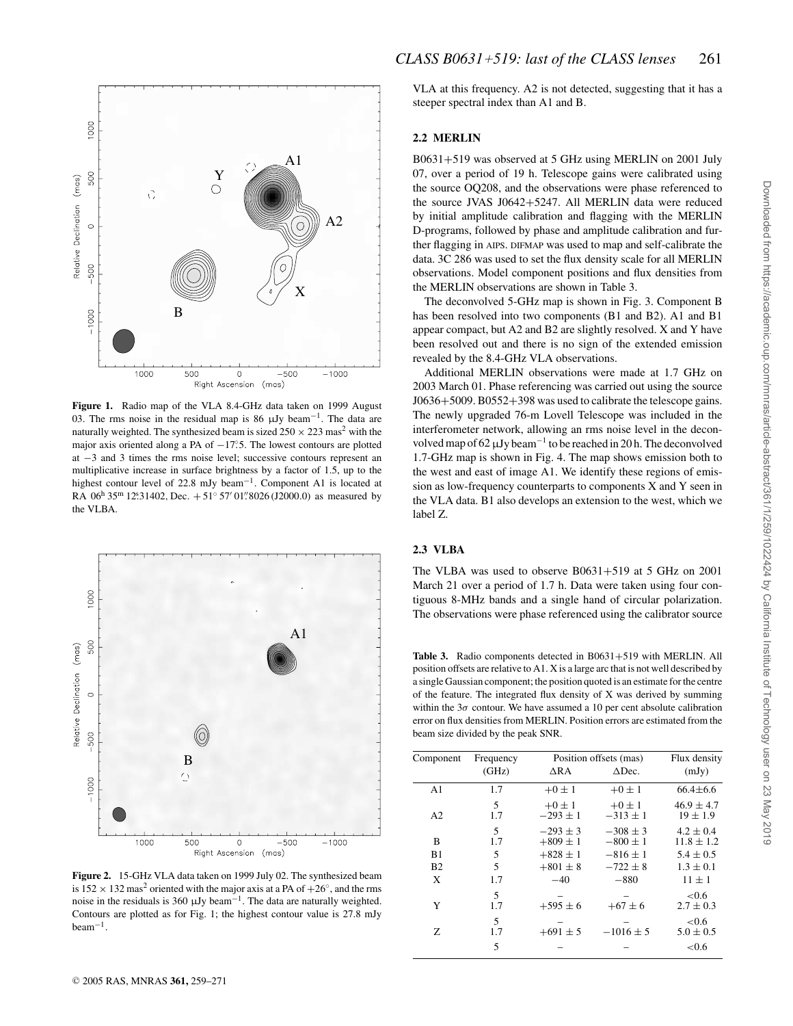

**Figure 1.** Radio map of the VLA 8.4-GHz data taken on 1999 August 03. The rms noise in the residual map is 86  $\mu$ Jy beam<sup>-1</sup>. The data are naturally weighted. The synthesized beam is sized  $250 \times 223$  mas<sup>2</sup> with the major axis oriented along a PA of −17°.5. The lowest contours are plotted at −3 and 3 times the rms noise level; successive contours represent an multiplicative increase in surface brightness by a factor of 1.5, up to the highest contour level of 22.8 mJy beam−1. Component A1 is located at RA  $06^{\text{h}}$  35<sup>m</sup> 12° 31402, Dec. + 51° 57′ 01''8026 (J2000.0) as measured by the VLBA.



**Figure 2.** 15-GHz VLA data taken on 1999 July 02. The synthesized beam is  $152 \times 132$  mas<sup>2</sup> oriented with the major axis at a PA of  $+26°$ , and the rms noise in the residuals is 360  $\mu$ Jy beam<sup>-1</sup>. The data are naturally weighted. Contours are plotted as for Fig. 1; the highest contour value is 27.8 mJy beam−1.

VLA at this frequency. A2 is not detected, suggesting that it has a steeper spectral index than A1 and B.

# **2.2 MERLIN**

B0631+519 was observed at 5 GHz using MERLIN on 2001 July 07, over a period of 19 h. Telescope gains were calibrated using the source OQ208, and the observations were phase referenced to the source JVAS J0642+5247. All MERLIN data were reduced by initial amplitude calibration and flagging with the MERLIN D-programs, followed by phase and amplitude calibration and further flagging in AIPS. DIFMAP was used to map and self-calibrate the data. 3C 286 was used to set the flux density scale for all MERLIN observations. Model component positions and flux densities from the MERLIN observations are shown in Table 3.

The deconvolved 5-GHz map is shown in Fig. 3. Component B has been resolved into two components (B1 and B2). A1 and B1 appear compact, but A2 and B2 are slightly resolved. X and Y have been resolved out and there is no sign of the extended emission revealed by the 8.4-GHz VLA observations.

Additional MERLIN observations were made at 1.7 GHz on 2003 March 01. Phase referencing was carried out using the source J0636+5009. B0552+398 was used to calibrate the telescope gains. The newly upgraded 76-m Lovell Telescope was included in the interferometer network, allowing an rms noise level in the deconvolved map of 62µJy beam−<sup>1</sup> to be reached in 20 h. The deconvolved 1.7-GHz map is shown in Fig. 4. The map shows emission both to the west and east of image A1. We identify these regions of emission as low-frequency counterparts to components X and Y seen in the VLA data. B1 also develops an extension to the west, which we label Z.

#### **2.3 VLBA**

The VLBA was used to observe B0631+519 at 5 GHz on 2001 March 21 over a period of 1.7 h. Data were taken using four contiguous 8-MHz bands and a single hand of circular polarization. The observations were phase referenced using the calibrator source

**Table 3.** Radio components detected in B0631+519 with MERLIN. All position offsets are relative to A1. X is a large arc that is not well described by a single Gaussian component; the position quoted is an estimate for the centre of the feature. The integrated flux density of X was derived by summing within the  $3\sigma$  contour. We have assumed a 10 per cent absolute calibration error on flux densities from MERLIN. Position errors are estimated from the beam size divided by the peak SNR.

| Component      | Frequency | Position offsets (mas)     | Flux density               |                                 |
|----------------|-----------|----------------------------|----------------------------|---------------------------------|
|                | (GHz)     | ΔRA                        | $\triangle$ Dec.           | (mJy)                           |
| A <sub>1</sub> | 1.7       | $+0\pm 1$                  | $+0\pm 1$                  | $66.4 \pm 6.6$                  |
| A <sub>2</sub> | 5<br>1.7  | $+0\pm 1$<br>$-293 \pm 1$  | $+0 \pm 1$<br>$-313 \pm 1$ | $46.9 \pm 4.7$<br>$19 \pm 1.9$  |
| B              | 5<br>1.7  | $-293 + 3$<br>$+809 \pm 1$ | $-308 + 3$<br>$-800 \pm 1$ | $4.2 \pm 0.4$<br>$11.8 \pm 1.2$ |
| B1             | 5         | $+828 \pm 1$               | $-816 \pm 1$               | $5.4 \pm 0.5$                   |
| B <sub>2</sub> | 5         | $+801 \pm 8$               | $-722 + 8$                 | $1.3 \pm 0.1$                   |
| X              | 1.7       | $-40$                      | $-880$                     | $11 \pm 1$                      |
| Y              | 5<br>1.7  | $+595 \pm 6$               | $+67 \pm 6$                | < 0.6<br>$2.7 \pm 0.3$          |
| Z              | 5<br>1.7  | $+691 \pm 5$               | $-1016 \pm 5$              | ${<}0.6$<br>$5.0 \pm 0.5$       |
|                | 5         |                            |                            | ${<}0.6$                        |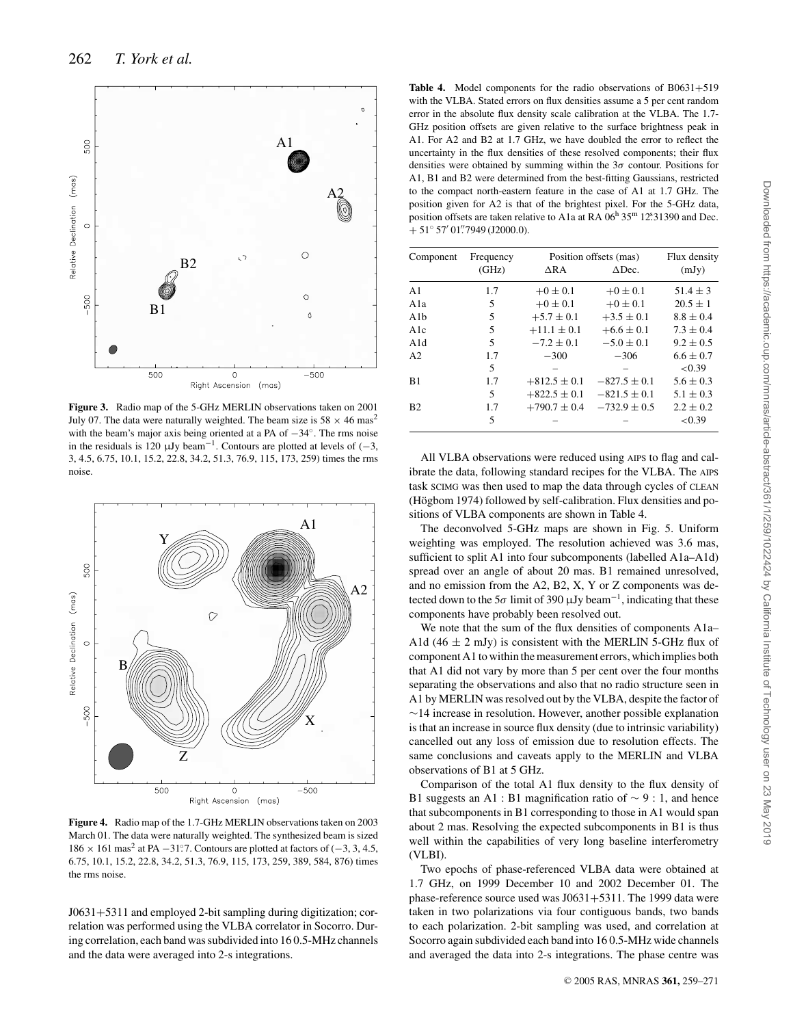

**Figure 3.** Radio map of the 5-GHz MERLIN observations taken on 2001 July 07. The data were naturally weighted. The beam size is  $58 \times 46$  mas<sup>2</sup> with the beam's major axis being oriented at a PA of −34◦. The rms noise in the residuals is 120  $\mu$ Jy beam<sup>-1</sup>. Contours are plotted at levels of (-3, 3, 4.5, 6.75, 10.1, 15.2, 22.8, 34.2, 51.3, 76.9, 115, 173, 259) times the rms noise.



**Figure 4.** Radio map of the 1.7-GHz MERLIN observations taken on 2003 March 01. The data were naturally weighted. The synthesized beam is sized  $186 \times 161 \text{ mas}^2$  at PA  $-31^\circ$ . Contours are plotted at factors of ( $-3, 3, 4.5$ , 6.75, 10.1, 15.2, 22.8, 34.2, 51.3, 76.9, 115, 173, 259, 389, 584, 876) times the rms noise.

J0631+5311 and employed 2-bit sampling during digitization; correlation was performed using the VLBA correlator in Socorro. During correlation, each band was subdivided into 16 0.5-MHz channels and the data were averaged into 2-s integrations.

Table 4. Model components for the radio observations of B0631+519 with the VLBA. Stated errors on flux densities assume a 5 per cent random error in the absolute flux density scale calibration at the VLBA. The 1.7- GHz position offsets are given relative to the surface brightness peak in A1. For A2 and B2 at 1.7 GHz, we have doubled the error to reflect the uncertainty in the flux densities of these resolved components; their flux densities were obtained by summing within the  $3\sigma$  contour. Positions for A1, B1 and B2 were determined from the best-fitting Gaussians, restricted to the compact north-eastern feature in the case of A1 at 1.7 GHz. The position given for A2 is that of the brightest pixel. For the 5-GHz data, position offsets are taken relative to A1a at RA  $06^{\text{h}} 35^{\text{m}} 12^{\text{s}} 31390$  and Dec.  $+51^{\circ}57'01''7949(J2000.0).$ 

| Component      | Frequency | Position offsets (mas) | Flux density     |               |
|----------------|-----------|------------------------|------------------|---------------|
|                | (GHz)     | $\triangle$ RA         | $\triangle$ Dec. | (mJy)         |
| A <sub>1</sub> | 1.7       | $+0 \pm 0.1$           | $+0 \pm 0.1$     | $51.4 \pm 3$  |
| A1a            | 5         | $+0 \pm 0.1$           | $+0 \pm 0.1$     | $20.5 \pm 1$  |
| A1b            | 5         | $+5.7 \pm 0.1$         | $+3.5 \pm 0.1$   | $8.8 \pm 0.4$ |
| A1c            | 5         | $+11.1 \pm 0.1$        | $+6.6 \pm 0.1$   | $7.3 \pm 0.4$ |
| A1d            | 5         | $-7.2 \pm 0.1$         | $-5.0 \pm 0.1$   | $9.2 \pm 0.5$ |
| A <sub>2</sub> | 1.7       | $-300$                 | $-306$           | $6.6 \pm 0.7$ |
|                | 5         |                        |                  | < 0.39        |
| B1             | 1.7       | $+812.5 \pm 0.1$       | $-827.5 \pm 0.1$ | $5.6 \pm 0.3$ |
|                | 5         | $+822.5 \pm 0.1$       | $-821.5 \pm 0.1$ | $5.1 \pm 0.3$ |
| B <sub>2</sub> | 1.7       | $+790.7 \pm 0.4$       | $-732.9 \pm 0.5$ | $2.2 \pm 0.2$ |
|                | 5         |                        |                  | ${<}0.39$     |

All VLBA observations were reduced using AIPS to flag and calibrate the data, following standard recipes for the VLBA. The AIPS task SCIMG was then used to map the data through cycles of CLEAN  $(H\ddot{o}gbom 1974)$  followed by self-calibration. Flux densities and positions of VLBA components are shown in Table 4.

The deconvolved 5-GHz maps are shown in Fig. 5. Uniform weighting was employed. The resolution achieved was 3.6 mas, sufficient to split A1 into four subcomponents (labelled A1a–A1d) spread over an angle of about 20 mas. B1 remained unresolved, and no emission from the A2, B2, X, Y or Z components was detected down to the 5 $\sigma$  limit of 390 µJy beam<sup>-1</sup>, indicating that these components have probably been resolved out.

We note that the sum of the flux densities of components A1a– A1d (46  $\pm$  2 mJy) is consistent with the MERLIN 5-GHz flux of component A1 to within the measurement errors, which implies both that A1 did not vary by more than 5 per cent over the four months separating the observations and also that no radio structure seen in A1 by MERLIN was resolved out by the VLBA, despite the factor of ∼14 increase in resolution. However, another possible explanation is that an increase in source flux density (due to intrinsic variability) cancelled out any loss of emission due to resolution effects. The same conclusions and caveats apply to the MERLIN and VLBA observations of B1 at 5 GHz.

Comparison of the total A1 flux density to the flux density of B1 suggests an A1 : B1 magnification ratio of ∼ 9 : 1, and hence that subcomponents in B1 corresponding to those in A1 would span about 2 mas. Resolving the expected subcomponents in B1 is thus well within the capabilities of very long baseline interferometry (VLBI).

Two epochs of phase-referenced VLBA data were obtained at 1.7 GHz, on 1999 December 10 and 2002 December 01. The phase-reference source used was J0631+5311. The 1999 data were taken in two polarizations via four contiguous bands, two bands to each polarization. 2-bit sampling was used, and correlation at Socorro again subdivided each band into 16 0.5-MHz wide channels and averaged the data into 2-s integrations. The phase centre was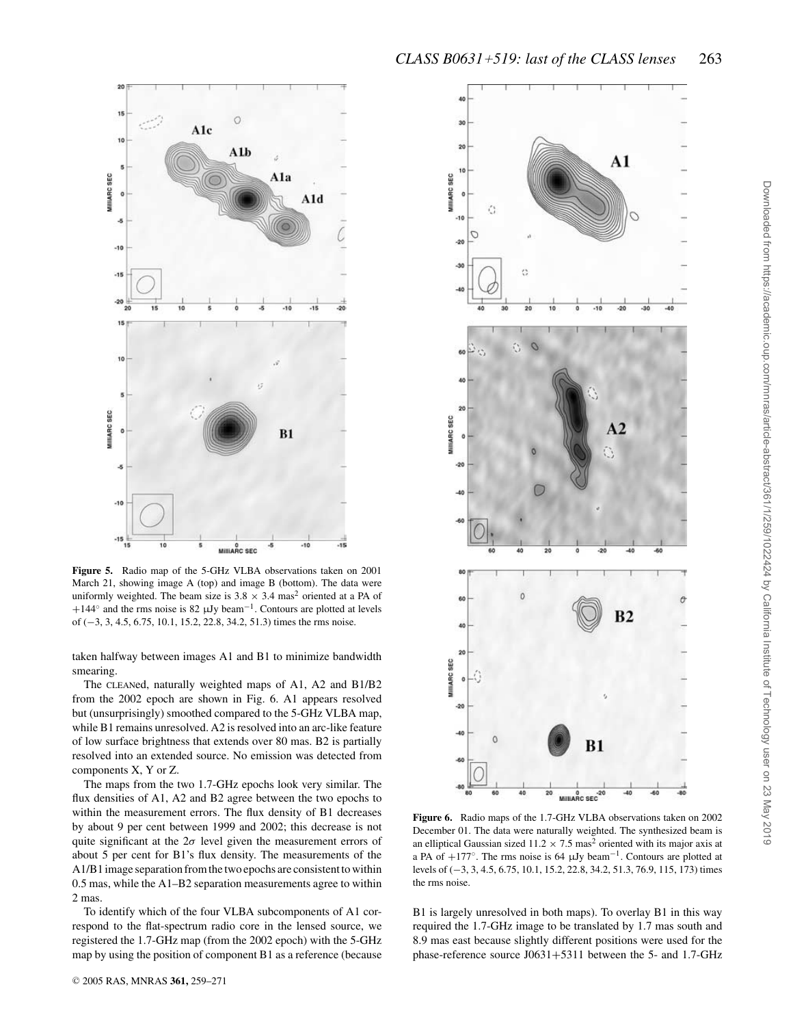

March 21, showing image A (top) and image B (bottom). The data were uniformly weighted. The beam size is  $3.8 \times 3.4$  mas<sup>2</sup> oriented at a PA of +144 $\textdegree$  and the rms noise is 82 µJy beam<sup>-1</sup>. Contours are plotted at levels of (−3, 3, 4.5, 6.75, 10.1, 15.2, 22.8, 34.2, 51.3) times the rms noise.

taken halfway between images A1 and B1 to minimize bandwidth smearing.

The CLEANed, naturally weighted maps of A1, A2 and B1/B2 from the 2002 epoch are shown in Fig. 6. A1 appears resolved but (unsurprisingly) smoothed compared to the 5-GHz VLBA map, while B1 remains unresolved. A2 is resolved into an arc-like feature of low surface brightness that extends over 80 mas. B2 is partially resolved into an extended source. No emission was detected from components X, Y or Z.

The maps from the two 1.7-GHz epochs look very similar. The flux densities of A1, A2 and B2 agree between the two epochs to within the measurement errors. The flux density of B1 decreases by about 9 per cent between 1999 and 2002; this decrease is not quite significant at the  $2\sigma$  level given the measurement errors of about 5 per cent for B1's flux density. The measurements of the A1/B1 image separation from the two epochs are consistent to within 0.5 mas, while the A1–B2 separation measurements agree to within 2 mas.

To identify which of the four VLBA subcomponents of A1 correspond to the flat-spectrum radio core in the lensed source, we registered the 1.7-GHz map (from the 2002 epoch) with the 5-GHz map by using the position of component B1 as a reference (because

20

**IIIIARC SEC** 

 $-10$ 

 $-15$ 

 $-20$ 15

10

MIIIIARC SEC

J.

 $-10$ 

 $-15$ 



**Figure 6.** Radio maps of the 1.7-GHz VLBA observations taken on 2002 December 01. The data were naturally weighted. The synthesized beam is an elliptical Gaussian sized  $11.2 \times 7.5$  mas<sup>2</sup> oriented with its major axis at a PA of  $+177^\circ$ . The rms noise is 64 µJy beam<sup>-1</sup>. Contours are plotted at levels of (−3, 3, 4.5, 6.75, 10.1, 15.2, 22.8, 34.2, 51.3, 76.9, 115, 173) times the rms noise.

B1 is largely unresolved in both maps). To overlay B1 in this way required the 1.7-GHz image to be translated by 1.7 mas south and 8.9 mas east because slightly different positions were used for the phase-reference source J0631+5311 between the 5- and 1.7-GHz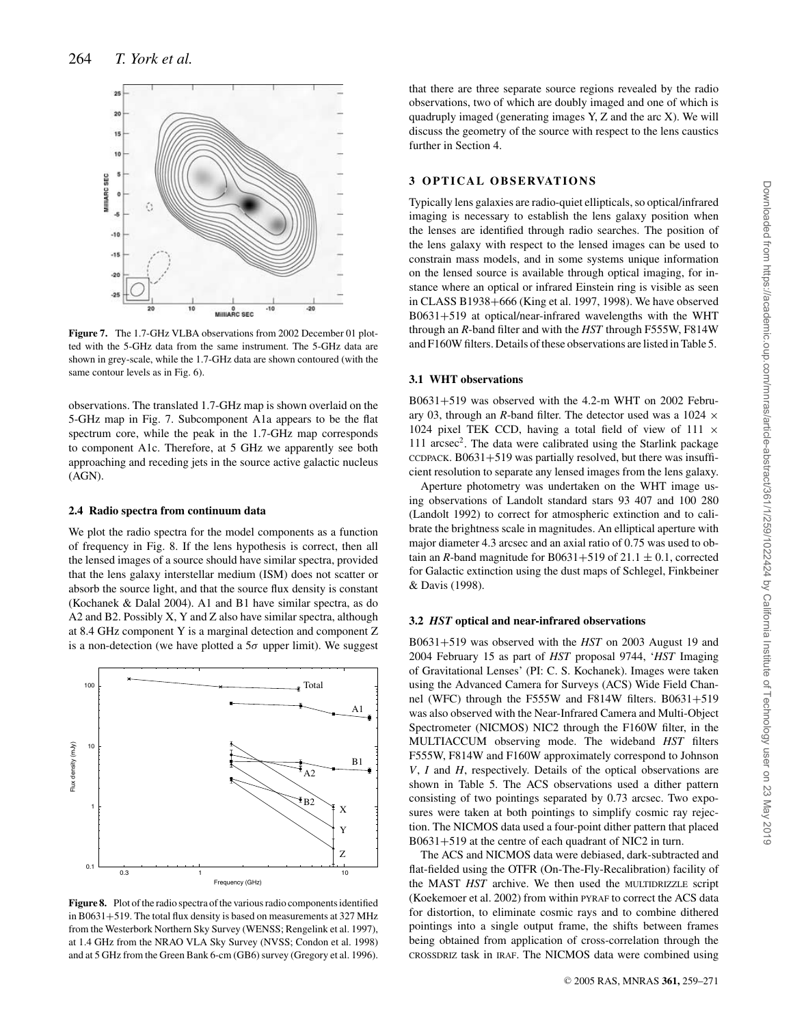

**Figure 7.** The 1.7-GHz VLBA observations from 2002 December 01 plotted with the 5-GHz data from the same instrument. The 5-GHz data are shown in grey-scale, while the 1.7-GHz data are shown contoured (with the same contour levels as in Fig. 6).

observations. The translated 1.7-GHz map is shown overlaid on the 5-GHz map in Fig. 7. Subcomponent A1a appears to be the flat spectrum core, while the peak in the 1.7-GHz map corresponds to component A1c. Therefore, at 5 GHz we apparently see both approaching and receding jets in the source active galactic nucleus (AGN).

#### **2.4 Radio spectra from continuum data**

We plot the radio spectra for the model components as a function of frequency in Fig. 8. If the lens hypothesis is correct, then all the lensed images of a source should have similar spectra, provided that the lens galaxy interstellar medium (ISM) does not scatter or absorb the source light, and that the source flux density is constant (Kochanek & Dalal 2004). A1 and B1 have similar spectra, as do A2 and B2. Possibly X, Y and Z also have similar spectra, although at 8.4 GHz component Y is a marginal detection and component Z is a non-detection (we have plotted a  $5\sigma$  upper limit). We suggest



**Figure 8.** Plot of the radio spectra of the various radio components identified in B0631+519. The total flux density is based on measurements at 327 MHz from the Westerbork Northern Sky Survey (WENSS; Rengelink et al. 1997), at 1.4 GHz from the NRAO VLA Sky Survey (NVSS; Condon et al. 1998) and at 5 GHz from the Green Bank 6-cm (GB6) survey (Gregory et al. 1996).

that there are three separate source regions revealed by the radio observations, two of which are doubly imaged and one of which is quadruply imaged (generating images Y, Z and the arc X). We will discuss the geometry of the source with respect to the lens caustics further in Section 4.

# **3 O P T I C A L O B S E RVAT I O N S**

Typically lens galaxies are radio-quiet ellipticals, so optical/infrared imaging is necessary to establish the lens galaxy position when the lenses are identified through radio searches. The position of the lens galaxy with respect to the lensed images can be used to constrain mass models, and in some systems unique information on the lensed source is available through optical imaging, for instance where an optical or infrared Einstein ring is visible as seen in CLASS B1938+666 (King et al. 1997, 1998). We have observed B0631+519 at optical/near-infrared wavelengths with the WHT through an *R*-band filter and with the *HST* through F555W, F814W and F160W filters. Details of these observations are listed in Table 5.

#### **3.1 WHT observations**

B0631+519 was observed with the 4.2-m WHT on 2002 February 03, through an *R*-band filter. The detector used was a 1024  $\times$ 1024 pixel TEK CCD, having a total field of view of 111  $\times$ 111 arcsec<sup>2</sup>. The data were calibrated using the Starlink package  $CCDPACK. B0631+519$  was partially resolved, but there was insufficient resolution to separate any lensed images from the lens galaxy.

Aperture photometry was undertaken on the WHT image using observations of Landolt standard stars 93 407 and 100 280 (Landolt 1992) to correct for atmospheric extinction and to calibrate the brightness scale in magnitudes. An elliptical aperture with major diameter 4.3 arcsec and an axial ratio of 0.75 was used to obtain an *R*-band magnitude for B0631+519 of 21.1  $\pm$  0.1, corrected for Galactic extinction using the dust maps of Schlegel, Finkbeiner & Davis (1998).

#### **3.2** *HST* **optical and near-infrared observations**

B0631+519 was observed with the *HST* on 2003 August 19 and 2004 February 15 as part of *HST* proposal 9744, '*HST* Imaging of Gravitational Lenses' (PI: C. S. Kochanek). Images were taken using the Advanced Camera for Surveys (ACS) Wide Field Channel (WFC) through the F555W and F814W filters. B0631+519 was also observed with the Near-Infrared Camera and Multi-Object Spectrometer (NICMOS) NIC2 through the F160W filter, in the MULTIACCUM observing mode. The wideband *HST* filters F555W, F814W and F160W approximately correspond to Johnson *V*, *I* and *H*, respectively. Details of the optical observations are shown in Table 5. The ACS observations used a dither pattern consisting of two pointings separated by 0.73 arcsec. Two exposures were taken at both pointings to simplify cosmic ray rejection. The NICMOS data used a four-point dither pattern that placed B0631+519 at the centre of each quadrant of NIC2 in turn.

The ACS and NICMOS data were debiased, dark-subtracted and flat-fielded using the OTFR (On-The-Fly-Recalibration) facility of the MAST *HST* archive. We then used the MULTIDRIZZLE script (Koekemoer et al. 2002) from within PYRAF to correct the ACS data for distortion, to eliminate cosmic rays and to combine dithered pointings into a single output frame, the shifts between frames being obtained from application of cross-correlation through the CROSSDRIZ task in IRAF. The NICMOS data were combined using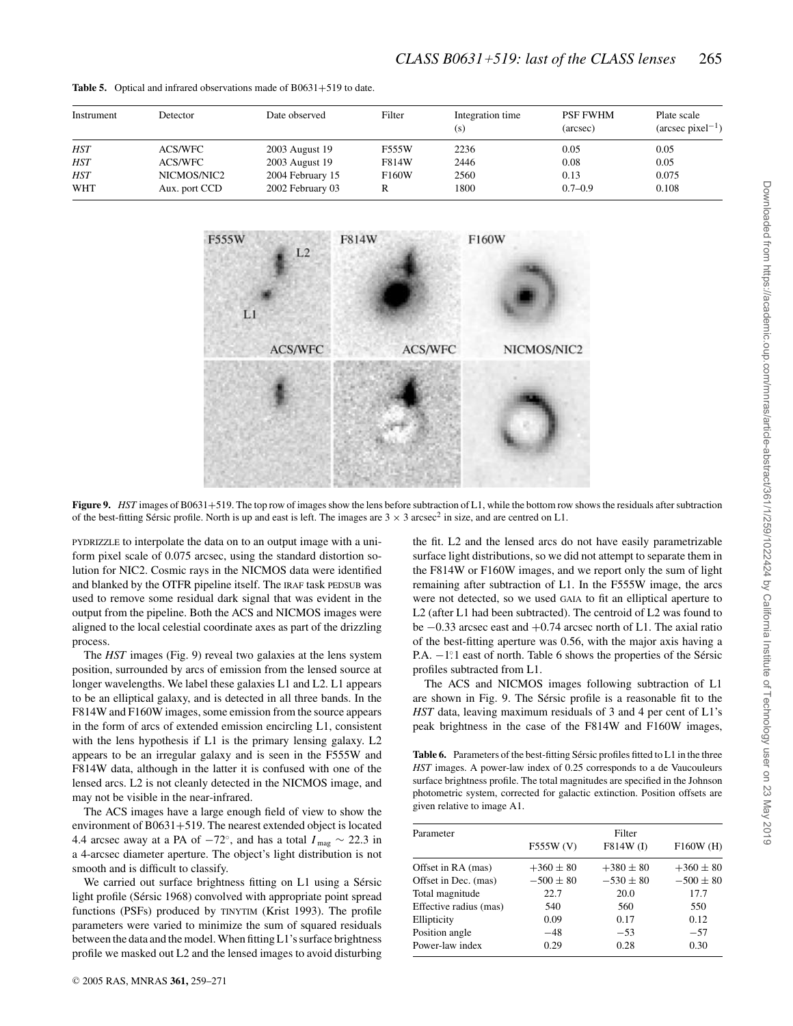| Instrument | Detector      | Date observed    | Filter | Integration time<br>(s) | <b>PSF FWHM</b><br>(arcsec) | Plate scale<br>$(\text{arcsec pixel}^{-1})$ |
|------------|---------------|------------------|--------|-------------------------|-----------------------------|---------------------------------------------|
| <b>HST</b> | ACS/WFC       | 2003 August 19   | F555W  | 2236                    | 0.05                        | 0.05                                        |
| <b>HST</b> | ACS/WFC       | 2003 August 19   | F814W  | 2446                    | 0.08                        | 0.05                                        |
| <b>HST</b> | NICMOS/NIC2   | 2004 February 15 | F160W  | 2560                    | 0.13                        | 0.075                                       |
| <b>WHT</b> | Aux. port CCD | 2002 February 03 |        | 1800                    | $0.7 - 0.9$                 | 0.108                                       |

**Table 5.** Optical and infrared observations made of B0631+519 to date.



**Figure 9.** *HST* images of B0631+519. The top row of images show the lens before subtraction of L1, while the bottom row shows the residuals after subtraction of the best-fitting Sérsic profile. North is up and east is left. The images are  $3 \times 3$  arcsec<sup>2</sup> in size, and are centred on L1.

PYDRIZZLE to interpolate the data on to an output image with a uniform pixel scale of 0.075 arcsec, using the standard distortion solution for NIC2. Cosmic rays in the NICMOS data were identified and blanked by the OTFR pipeline itself. The IRAF task PEDSUB was used to remove some residual dark signal that was evident in the output from the pipeline. Both the ACS and NICMOS images were aligned to the local celestial coordinate axes as part of the drizzling process.

The *HST* images (Fig. 9) reveal two galaxies at the lens system position, surrounded by arcs of emission from the lensed source at longer wavelengths. We label these galaxies L1 and L2. L1 appears to be an elliptical galaxy, and is detected in all three bands. In the F814W and F160W images, some emission from the source appears in the form of arcs of extended emission encircling L1, consistent with the lens hypothesis if L1 is the primary lensing galaxy. L2 appears to be an irregular galaxy and is seen in the F555W and F814W data, although in the latter it is confused with one of the lensed arcs. L2 is not cleanly detected in the NICMOS image, and may not be visible in the near-infrared.

The ACS images have a large enough field of view to show the environment of B0631+519. The nearest extended object is located 4.4 arcsec away at a PA of  $-72^\circ$ , and has a total  $I_{\text{mag}} \sim 22.3$  in a 4-arcsec diameter aperture. The object's light distribution is not smooth and is difficult to classify.

We carried out surface brightness fitting on L1 using a Sérsic light profile (Sérsic 1968) convolved with appropriate point spread functions (PSFs) produced by TINYTIM (Krist 1993). The profile parameters were varied to minimize the sum of squared residuals between the data and the model. When fitting L1's surface brightness profile we masked out L2 and the lensed images to avoid disturbing

the fit. L2 and the lensed arcs do not have easily parametrizable surface light distributions, so we did not attempt to separate them in the F814W or F160W images, and we report only the sum of light remaining after subtraction of L1. In the F555W image, the arcs were not detected, so we used GAIA to fit an elliptical aperture to L2 (after L1 had been subtracted). The centroid of L2 was found to be −0.33 arcsec east and +0.74 arcsec north of L1. The axial ratio of the best-fitting aperture was 0.56, with the major axis having a P.A.  $-1^\circ$  east of north. Table 6 shows the properties of the Sérsic profiles subtracted from L1.

The ACS and NICMOS images following subtraction of L1 are shown in Fig. 9. The Sérsic profile is a reasonable fit to the *HST* data, leaving maximum residuals of 3 and 4 per cent of L1's peak brightness in the case of the F814W and F160W images,

Table 6. Parameters of the best-fitting Sérsic profiles fitted to L1 in the three *HST* images. A power-law index of 0.25 corresponds to a de Vaucouleurs surface brightness profile. The total magnitudes are specified in the Johnson photometric system, corrected for galactic extinction. Position offsets are given relative to image A1.

| Parameter              | Filter        |               |               |  |
|------------------------|---------------|---------------|---------------|--|
|                        | F555W (V)     | F814W (I)     | F160W(H)      |  |
| Offset in RA (mas)     | $+360 \pm 80$ | $+380 \pm 80$ | $+360 \pm 80$ |  |
| Offset in Dec. (mas)   | $-500 \pm 80$ | $-530 \pm 80$ | $-500 \pm 80$ |  |
| Total magnitude        | 22.7          | 20.0          | 17.7          |  |
| Effective radius (mas) | 540           | 560           | 550           |  |
| Ellipticity            | 0.09          | 0.17          | 0.12          |  |
| Position angle         | $-48$         | $-53$         | $-57$         |  |
| Power-law index        | 0.29          | 0.28          | 0.30          |  |
|                        |               |               |               |  |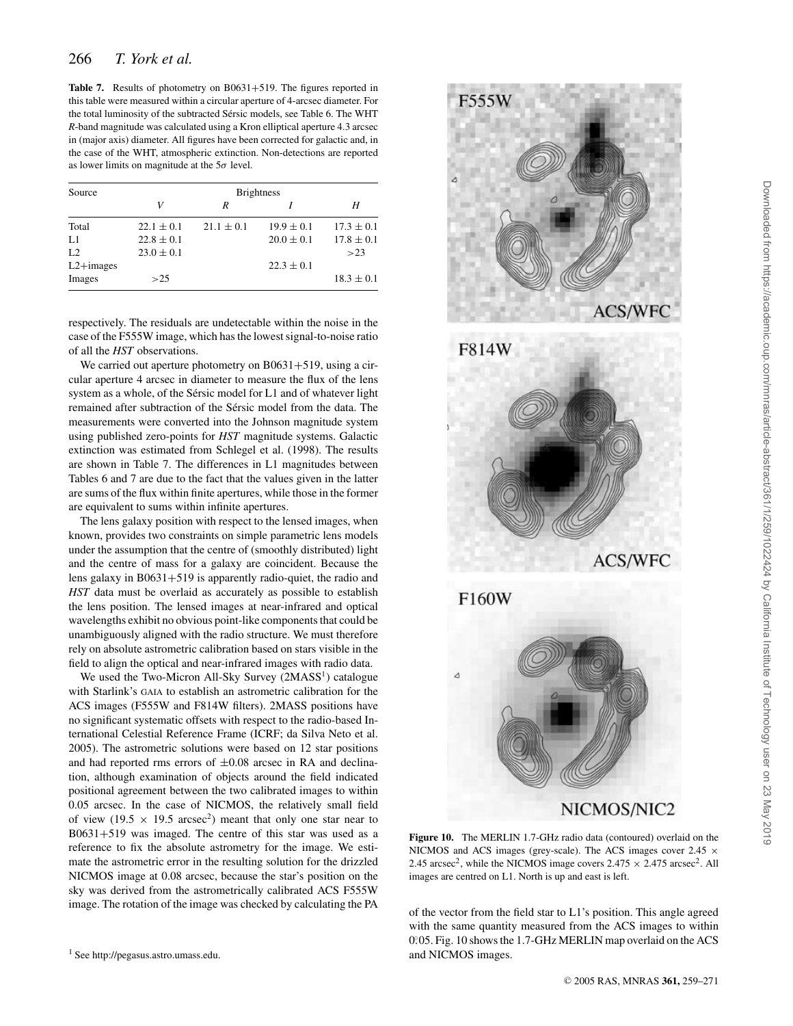**Table 7.** Results of photometry on B0631+519. The figures reported in this table were measured within a circular aperture of 4-arcsec diameter. For the total luminosity of the subtracted Sérsic models, see Table 6. The WHT *R*-band magnitude was calculated using a Kron elliptical aperture 4.3 arcsec in (major axis) diameter. All figures have been corrected for galactic and, in the case of the WHT, atmospheric extinction. Non-detections are reported as lower limits on magnitude at the  $5\sigma$  level.

| Source         | <b>Brightness</b> |                |                |                |  |
|----------------|-------------------|----------------|----------------|----------------|--|
|                | V                 | R              |                | Н              |  |
| Total          | $22.1 \pm 0.1$    | $21.1 \pm 0.1$ | $19.9 \pm 0.1$ | $17.3 \pm 0.1$ |  |
| L1             | $22.8 \pm 0.1$    |                | $20.0 \pm 0.1$ | $17.8 \pm 0.1$ |  |
| L <sub>2</sub> | $23.0 \pm 0.1$    |                |                | >23            |  |
| $L2+images$    |                   |                | $22.3 \pm 0.1$ |                |  |
| Images         | >25               |                |                | $18.3 \pm 0.1$ |  |

respectively. The residuals are undetectable within the noise in the case of the F555W image, which has the lowest signal-to-noise ratio of all the *HST* observations.

We carried out aperture photometry on  $B0631+519$ , using a circular aperture 4 arcsec in diameter to measure the flux of the lens system as a whole, of the Sérsic model for L1 and of whatever light remained after subtraction of the Sérsic model from the data. The measurements were converted into the Johnson magnitude system using published zero-points for *HST* magnitude systems. Galactic extinction was estimated from Schlegel et al. (1998). The results are shown in Table 7. The differences in L1 magnitudes between Tables 6 and 7 are due to the fact that the values given in the latter are sums of the flux within finite apertures, while those in the former are equivalent to sums within infinite apertures.

The lens galaxy position with respect to the lensed images, when known, provides two constraints on simple parametric lens models under the assumption that the centre of (smoothly distributed) light and the centre of mass for a galaxy are coincident. Because the lens galaxy in B0631+519 is apparently radio-quiet, the radio and *HST* data must be overlaid as accurately as possible to establish the lens position. The lensed images at near-infrared and optical wavelengths exhibit no obvious point-like components that could be unambiguously aligned with the radio structure. We must therefore rely on absolute astrometric calibration based on stars visible in the field to align the optical and near-infrared images with radio data.

We used the Two-Micron All-Sky Survey (2MASS<sup>1</sup>) catalogue with Starlink's GAIA to establish an astrometric calibration for the ACS images (F555W and F814W filters). 2MASS positions have no significant systematic offsets with respect to the radio-based International Celestial Reference Frame (ICRF; da Silva Neto et al. 2005). The astrometric solutions were based on 12 star positions and had reported rms errors of  $\pm 0.08$  arcsec in RA and declination, although examination of objects around the field indicated positional agreement between the two calibrated images to within 0.05 arcsec. In the case of NICMOS, the relatively small field of view (19.5  $\times$  19.5 arcsec<sup>2</sup>) meant that only one star near to B0631+519 was imaged. The centre of this star was used as a reference to fix the absolute astrometry for the image. We estimate the astrometric error in the resulting solution for the drizzled NICMOS image at 0.08 arcsec, because the star's position on the sky was derived from the astrometrically calibrated ACS F555W image. The rotation of the image was checked by calculating the PA







**Figure 10.** The MERLIN 1.7-GHz radio data (contoured) overlaid on the NICMOS and ACS images (grey-scale). The ACS images cover  $2.45 \times$ 2.45 arcsec<sup>2</sup>, while the NICMOS image covers  $2.475 \times 2.475$  arcsec<sup>2</sup>. All images are centred on L1. North is up and east is left.

of the vector from the field star to L1's position. This angle agreed with the same quantity measured from the ACS images to within 0.05. Fig. 10 shows the 1.7-GHz MERLIN map overlaid on the ACS and NICMOS images.

<sup>1</sup> See http://pegasus.astro.umass.edu.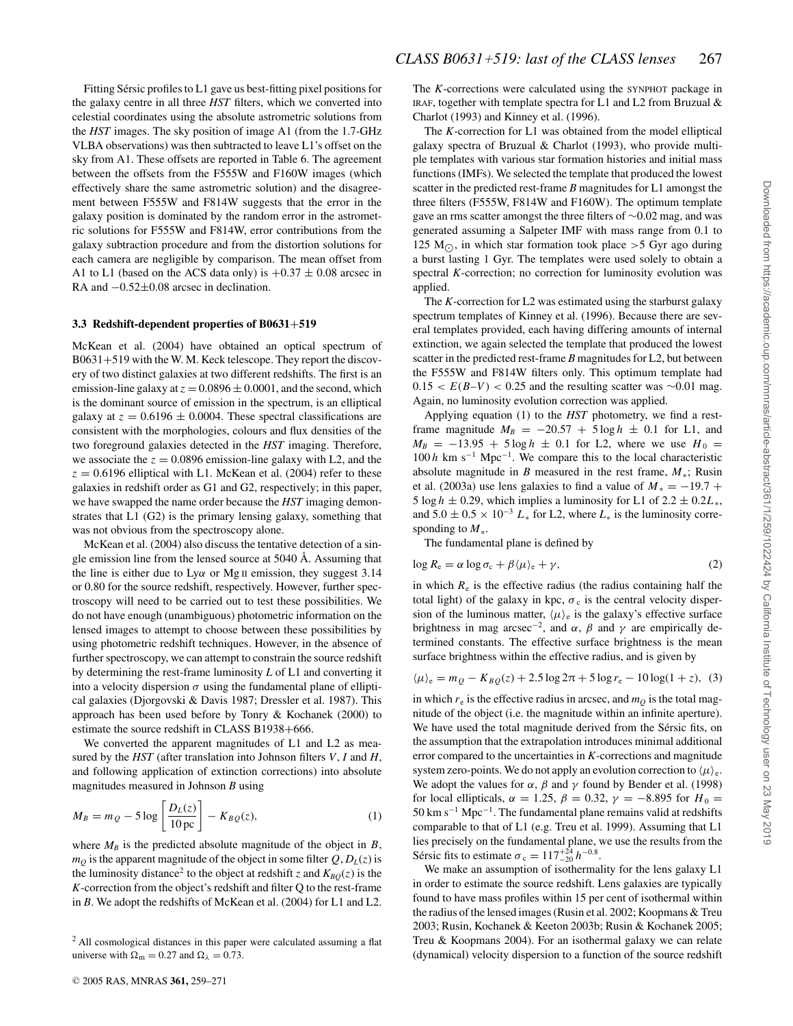Fitting Sérsic profiles to  $L1$  gave us best-fitting pixel positions for the galaxy centre in all three *HST* filters, which we converted into celestial coordinates using the absolute astrometric solutions from the *HST* images. The sky position of image A1 (from the 1.7-GHz VLBA observations) was then subtracted to leave L1's offset on the sky from A1. These offsets are reported in Table 6. The agreement between the offsets from the F555W and F160W images (which effectively share the same astrometric solution) and the disagreement between F555W and F814W suggests that the error in the galaxy position is dominated by the random error in the astrometric solutions for F555W and F814W, error contributions from the galaxy subtraction procedure and from the distortion solutions for each camera are negligible by comparison. The mean offset from A1 to L1 (based on the ACS data only) is  $+0.37 \pm 0.08$  arcsec in RA and −0.52±0.08 arcsec in declination.

#### **3.3 Redshift-dependent properties of B0631**+**519**

McKean et al. (2004) have obtained an optical spectrum of B0631+519 with the W. M. Keck telescope. They report the discovery of two distinct galaxies at two different redshifts. The first is an emission-line galaxy at  $z = 0.0896 \pm 0.0001$ , and the second, which is the dominant source of emission in the spectrum, is an elliptical galaxy at  $z = 0.6196 \pm 0.0004$ . These spectral classifications are consistent with the morphologies, colours and flux densities of the two foreground galaxies detected in the *HST* imaging. Therefore, we associate the  $z = 0.0896$  emission-line galaxy with L2, and the  $z = 0.6196$  elliptical with L1. McKean et al. (2004) refer to these galaxies in redshift order as G1 and G2, respectively; in this paper, we have swapped the name order because the *HST* imaging demonstrates that L1 (G2) is the primary lensing galaxy, something that was not obvious from the spectroscopy alone.

McKean et al. (2004) also discuss the tentative detection of a single emission line from the lensed source at 5040 Å. Assuming that the line is either due to  $Ly\alpha$  or Mg II emission, they suggest 3.14 or 0.80 for the source redshift, respectively. However, further spectroscopy will need to be carried out to test these possibilities. We do not have enough (unambiguous) photometric information on the lensed images to attempt to choose between these possibilities by using photometric redshift techniques. However, in the absence of further spectroscopy, we can attempt to constrain the source redshift by determining the rest-frame luminosity *L* of L1 and converting it into a velocity dispersion  $\sigma$  using the fundamental plane of elliptical galaxies (Djorgovski & Davis 1987; Dressler et al. 1987). This approach has been used before by Tonry & Kochanek (2000) to estimate the source redshift in CLASS B1938+666.

We converted the apparent magnitudes of L1 and L2 as measured by the *HST* (after translation into Johnson filters *V*, *I* and *H*, and following application of extinction corrections) into absolute magnitudes measured in Johnson *B* using

$$
M_B = m_Q - 5 \log \left[ \frac{D_L(z)}{10 \,\text{pc}} \right] - K_{BQ}(z),\tag{1}
$$

where  $M_B$  is the predicted absolute magnitude of the object in  $B$ ,  $m_Q$  is the apparent magnitude of the object in some filter  $Q$ ,  $D_L(z)$  is the luminosity distance<sup>2</sup> to the object at redshift *z* and  $K_{BO}(z)$  is the *K*-correction from the object's redshift and filter Q to the rest-frame in *B*. We adopt the redshifts of McKean et al. (2004) for L1 and L2.

The *K*-corrections were calculated using the SYNPHOT package in IRAF, together with template spectra for L1 and L2 from Bruzual  $\&$ Charlot (1993) and Kinney et al. (1996).

The *K*-correction for L1 was obtained from the model elliptical galaxy spectra of Bruzual & Charlot (1993), who provide multiple templates with various star formation histories and initial mass functions (IMFs). We selected the template that produced the lowest scatter in the predicted rest-frame *B* magnitudes for L1 amongst the three filters (F555W, F814W and F160W). The optimum template gave an rms scatter amongst the three filters of ∼0.02 mag, and was generated assuming a Salpeter IMF with mass range from 0.1 to 125 M $\odot$ , in which star formation took place >5 Gyr ago during a burst lasting 1 Gyr. The templates were used solely to obtain a spectral *K*-correction; no correction for luminosity evolution was applied.

The *K*-correction for L2 was estimated using the starburst galaxy spectrum templates of Kinney et al. (1996). Because there are several templates provided, each having differing amounts of internal extinction, we again selected the template that produced the lowest scatter in the predicted rest-frame *B* magnitudes for L2, but between the F555W and F814W filters only. This optimum template had  $0.15 < E(B-V) < 0.25$  and the resulting scatter was ∼0.01 mag. Again, no luminosity evolution correction was applied.

Applying equation (1) to the *HST* photometry, we find a restframe magnitude  $M_B = -20.57 + 5 \log h \pm 0.1$  for L1, and  $M_B = -13.95 + 5 \log h \pm 0.1$  for L2, where we use  $H_0 =$  $100 h$  km s<sup>−1</sup> Mpc<sup>−1</sup>. We compare this to the local characteristic absolute magnitude in *B* measured in the rest frame, *M*∗; Rusin et al. (2003a) use lens galaxies to find a value of  $M_* = -19.7 +$ 5 log  $h \pm 0.29$ , which implies a luminosity for L1 of 2.2  $\pm$  0.2*L*<sub>\*</sub>, and  $5.0 \pm 0.5 \times 10^{-3} L_*$  for L2, where  $L_*$  is the luminosity corresponding to *M*∗.

The fundamental plane is defined by

$$
\log R_{\rm e} = \alpha \log \sigma_{\rm c} + \beta \langle \mu \rangle_{\rm e} + \gamma,\tag{2}
$$

in which  $R_e$  is the effective radius (the radius containing half the total light) of the galaxy in kpc,  $\sigma_c$  is the central velocity dispersion of the luminous matter,  $\langle \mu \rangle_e$  is the galaxy's effective surface brightness in mag arcsec<sup>-2</sup>, and  $\alpha$ ,  $\beta$  and  $\gamma$  are empirically determined constants. The effective surface brightness is the mean surface brightness within the effective radius, and is given by

$$
\langle \mu \rangle_e = m_Q - K_{BQ}(z) + 2.5 \log 2\pi + 5 \log r_e - 10 \log(1 + z), \tag{3}
$$

in which  $r_e$  is the effective radius in arcsec, and  $m_Q$  is the total magnitude of the object (i.e. the magnitude within an infinite aperture). We have used the total magnitude derived from the Sérsic fits, on the assumption that the extrapolation introduces minimal additional error compared to the uncertainties in *K*-corrections and magnitude system zero-points. We do not apply an evolution correction to  $\langle \mu \rangle_e$ . We adopt the values for  $\alpha$ ,  $\beta$  and  $\gamma$  found by Bender et al. (1998) for local ellipticals,  $\alpha = 1.25$ ,  $\beta = 0.32$ ,  $\gamma = -8.895$  for  $H_0 =$ 50 km s−<sup>1</sup> Mpc−1. The fundamental plane remains valid at redshifts comparable to that of L1 (e.g. Treu et al. 1999). Assuming that L1 lies precisely on the fundamental plane, we use the results from the Sérsic fits to estimate  $\sigma_c = 117^{+24}_{-20} h^{-0.8}$ .

We make an assumption of isothermality for the lens galaxy L1 in order to estimate the source redshift. Lens galaxies are typically found to have mass profiles within 15 per cent of isothermal within the radius of the lensed images (Rusin et al. 2002; Koopmans & Treu 2003; Rusin, Kochanek & Keeton 2003b; Rusin & Kochanek 2005; Treu & Koopmans 2004). For an isothermal galaxy we can relate (dynamical) velocity dispersion to a function of the source redshift

<sup>&</sup>lt;sup>2</sup> All cosmological distances in this paper were calculated assuming a flat universe with  $\Omega_{\rm m} = 0.27$  and  $\Omega_{\lambda} = 0.73$ .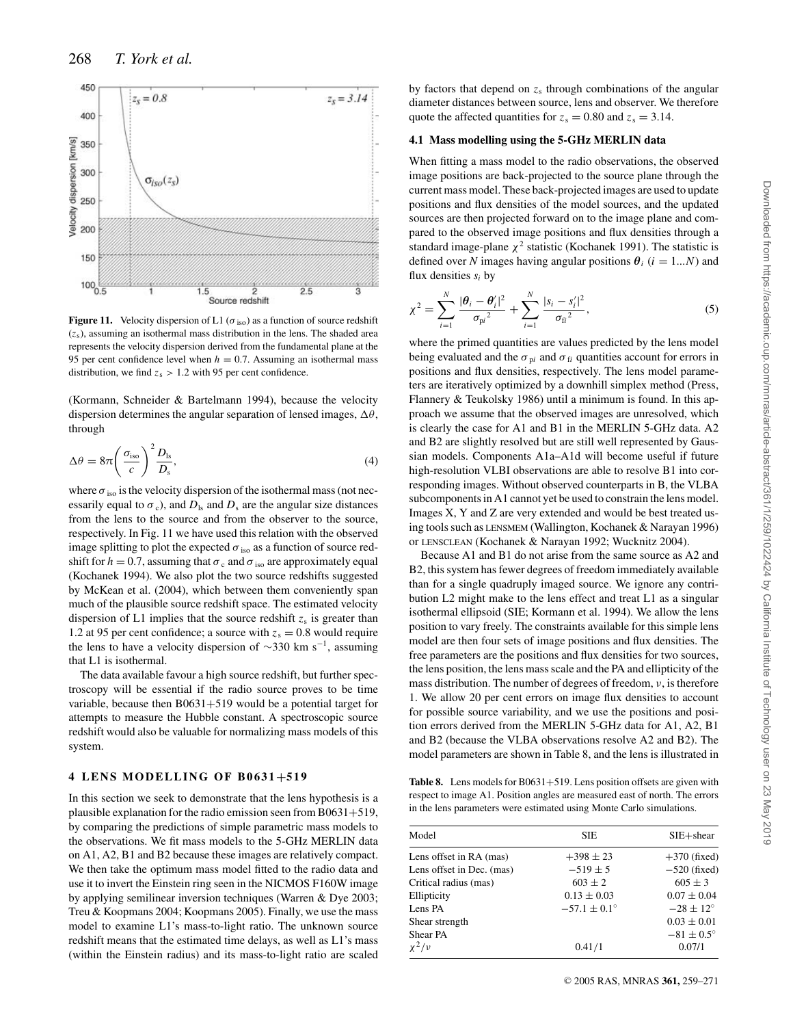

**Figure 11.** Velocity dispersion of L1 ( $\sigma$ <sub>iso</sub>) as a function of source redshift (*z*s), assuming an isothermal mass distribution in the lens. The shaded area represents the velocity dispersion derived from the fundamental plane at the 95 per cent confidence level when  $h = 0.7$ . Assuming an isothermal mass distribution, we find  $z_s > 1.2$  with 95 per cent confidence.

(Kormann, Schneider & Bartelmann 1994), because the velocity dispersion determines the angular separation of lensed images,  $\Delta\theta$ , through

$$
\Delta \theta = 8\pi \left(\frac{\sigma_{\text{iso}}}{c}\right)^2 \frac{D_{\text{ls}}}{D_{\text{s}}},\tag{4}
$$

where  $\sigma_{iso}$  is the velocity dispersion of the isothermal mass (not necessarily equal to  $\sigma_c$ ), and  $D_{\text{ls}}$  and  $D_s$  are the angular size distances from the lens to the source and from the observer to the source, respectively. In Fig. 11 we have used this relation with the observed image splitting to plot the expected  $\sigma$ <sub>iso</sub> as a function of source redshift for  $h = 0.7$ , assuming that  $\sigma_c$  and  $\sigma_{iso}$  are approximately equal (Kochanek 1994). We also plot the two source redshifts suggested by McKean et al. (2004), which between them conveniently span much of the plausible source redshift space. The estimated velocity dispersion of L1 implies that the source redshift  $z_s$  is greater than 1.2 at 95 per cent confidence; a source with  $z_s = 0.8$  would require the lens to have a velocity dispersion of  $\sim$ 330 km s<sup>-1</sup>, assuming that L1 is isothermal.

The data available favour a high source redshift, but further spectroscopy will be essential if the radio source proves to be time variable, because then B0631+519 would be a potential target for attempts to measure the Hubble constant. A spectroscopic source redshift would also be valuable for normalizing mass models of this system.

# **4 LENS MODELLING OF B0631+519**

In this section we seek to demonstrate that the lens hypothesis is a plausible explanation for the radio emission seen from B0631+519, by comparing the predictions of simple parametric mass models to the observations. We fit mass models to the 5-GHz MERLIN data on A1, A2, B1 and B2 because these images are relatively compact. We then take the optimum mass model fitted to the radio data and use it to invert the Einstein ring seen in the NICMOS F160W image by applying semilinear inversion techniques (Warren & Dye 2003; Treu & Koopmans 2004; Koopmans 2005). Finally, we use the mass model to examine L1's mass-to-light ratio. The unknown source redshift means that the estimated time delays, as well as L1's mass (within the Einstein radius) and its mass-to-light ratio are scaled by factors that depend on  $z<sub>s</sub>$  through combinations of the angular diameter distances between source, lens and observer. We therefore quote the affected quantities for  $z_s = 0.80$  and  $z_s = 3.14$ .

### **4.1 Mass modelling using the 5-GHz MERLIN data**

When fitting a mass model to the radio observations, the observed image positions are back-projected to the source plane through the current mass model. These back-projected images are used to update positions and flux densities of the model sources, and the updated sources are then projected forward on to the image plane and compared to the observed image positions and flux densities through a standard image-plane  $\chi^2$  statistic (Kochanek 1991). The statistic is defined over *N* images having angular positions  $\theta_i$  ( $i = 1...N$ ) and flux densities  $s_i$  by

$$
\chi^{2} = \sum_{i=1}^{N} \frac{|\theta_{i} - \theta'_{i}|^{2}}{\sigma_{\text{pi}}^{2}} + \sum_{i=1}^{N} \frac{|s_{i} - s'_{i}|^{2}}{\sigma_{\text{fi}}^{2}},
$$
(5)

where the primed quantities are values predicted by the lens model being evaluated and the  $\sigma_{pi}$  and  $\sigma_{fi}$  quantities account for errors in positions and flux densities, respectively. The lens model parameters are iteratively optimized by a downhill simplex method (Press, Flannery & Teukolsky 1986) until a minimum is found. In this approach we assume that the observed images are unresolved, which is clearly the case for A1 and B1 in the MERLIN 5-GHz data. A2 and B2 are slightly resolved but are still well represented by Gaussian models. Components A1a–A1d will become useful if future high-resolution VLBI observations are able to resolve B1 into corresponding images. Without observed counterparts in B, the VLBA subcomponents in A1 cannot yet be used to constrain the lens model. Images X, Y and Z are very extended and would be best treated using tools such as LENSMEM (Wallington, Kochanek & Narayan 1996) or LENSCLEAN (Kochanek & Narayan 1992; Wucknitz 2004).

Because A1 and B1 do not arise from the same source as A2 and B2, this system has fewer degrees of freedom immediately available than for a single quadruply imaged source. We ignore any contribution L2 might make to the lens effect and treat L1 as a singular isothermal ellipsoid (SIE; Kormann et al. 1994). We allow the lens position to vary freely. The constraints available for this simple lens model are then four sets of image positions and flux densities. The free parameters are the positions and flux densities for two sources, the lens position, the lens mass scale and the PA and ellipticity of the mass distribution. The number of degrees of freedom,  $\nu$ , is therefore 1. We allow 20 per cent errors on image flux densities to account for possible source variability, and we use the positions and position errors derived from the MERLIN 5-GHz data for A1, A2, B1 and B2 (because the VLBA observations resolve A2 and B2). The model parameters are shown in Table 8, and the lens is illustrated in

Table 8. Lens models for B0631+519. Lens position offsets are given with respect to image A1. Position angles are measured east of north. The errors in the lens parameters were estimated using Monte Carlo simulations.

| Model                     | <b>SIE</b>              | $SIE + shear$         |
|---------------------------|-------------------------|-----------------------|
| Lens offset in RA (mas)   | $+398 \pm 23$           | $+370$ (fixed)        |
| Lens offset in Dec. (mas) | $-519 \pm 5$            | $-520$ (fixed)        |
| Critical radius (mas)     | $603 \pm 2$             | $605 \pm 3$           |
| Ellipticity               | $0.13 \pm 0.03$         | $0.07 \pm 0.04$       |
| Lens PA                   | $-57.1 \pm 0.1^{\circ}$ | $-28 \pm 12^{\circ}$  |
| Shear strength            |                         | $0.03 \pm 0.01$       |
| Shear PA                  |                         | $-81 \pm 0.5^{\circ}$ |
| $\chi^2/\nu$              | 0.41/1                  | 0.07/1                |
|                           |                         |                       |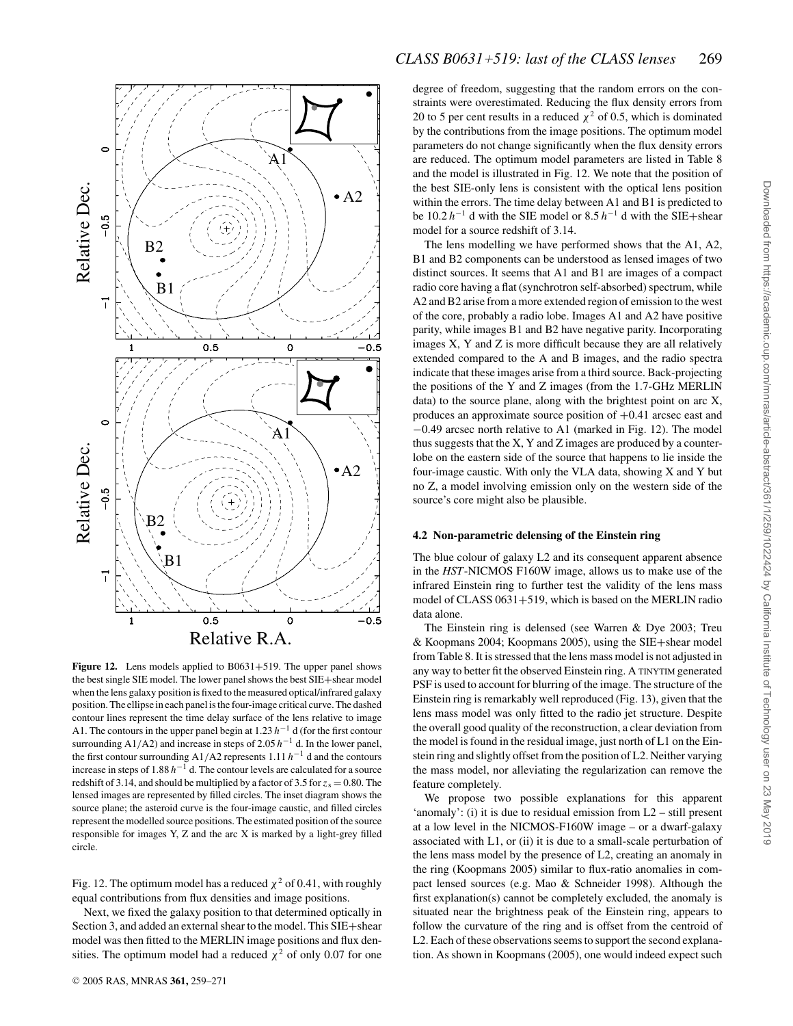

**Figure 12.** Lens models applied to B0631+519. The upper panel shows the best single SIE model. The lower panel shows the best SIE+shear model when the lens galaxy position is fixed to the measured optical/infrared galaxy position. The ellipse in each panel is the four-image critical curve. The dashed contour lines represent the time delay surface of the lens relative to image A1. The contours in the upper panel begin at 1.23 *h*−<sup>1</sup> d (for the first contour surrounding A1/A2) and increase in steps of 2.05 *h*−<sup>1</sup> d. In the lower panel, the first contour surrounding A1/A2 represents 1.11 *h*−<sup>1</sup> d and the contours increase in steps of 1.88 *h*−<sup>1</sup> d. The contour levels are calculated for a source redshift of 3.14, and should be multiplied by a factor of 3.5 for  $z_s = 0.80$ . The lensed images are represented by filled circles. The inset diagram shows the source plane; the asteroid curve is the four-image caustic, and filled circles represent the modelled source positions. The estimated position of the source responsible for images Y, Z and the arc X is marked by a light-grey filled circle.

Fig. 12. The optimum model has a reduced  $\chi^2$  of 0.41, with roughly equal contributions from flux densities and image positions.

Next, we fixed the galaxy position to that determined optically in Section 3, and added an external shear to the model. This SIE+shear model was then fitted to the MERLIN image positions and flux densities. The optimum model had a reduced  $\chi^2$  of only 0.07 for one degree of freedom, suggesting that the random errors on the constraints were overestimated. Reducing the flux density errors from 20 to 5 per cent results in a reduced  $\chi^2$  of 0.5, which is dominated by the contributions from the image positions. The optimum model parameters do not change significantly when the flux density errors are reduced. The optimum model parameters are listed in Table 8 and the model is illustrated in Fig. 12. We note that the position of the best SIE-only lens is consistent with the optical lens position within the errors. The time delay between A1 and B1 is predicted to be 10.2 *h*−<sup>1</sup> d with the SIE model or 8.5 *h*−<sup>1</sup> d with the SIE+shear model for a source redshift of 3.14.

The lens modelling we have performed shows that the A1, A2, B1 and B2 components can be understood as lensed images of two distinct sources. It seems that A1 and B1 are images of a compact radio core having a flat (synchrotron self-absorbed) spectrum, while A2 and B2 arise from a more extended region of emission to the west of the core, probably a radio lobe. Images A1 and A2 have positive parity, while images B1 and B2 have negative parity. Incorporating images X, Y and Z is more difficult because they are all relatively extended compared to the A and B images, and the radio spectra indicate that these images arise from a third source. Back-projecting the positions of the Y and Z images (from the 1.7-GHz MERLIN data) to the source plane, along with the brightest point on arc X, produces an approximate source position of +0.41 arcsec east and −0.49 arcsec north relative to A1 (marked in Fig. 12). The model thus suggests that the X, Y and Z images are produced by a counterlobe on the eastern side of the source that happens to lie inside the four-image caustic. With only the VLA data, showing X and Y but no Z, a model involving emission only on the western side of the source's core might also be plausible.

# **4.2 Non-parametric delensing of the Einstein ring**

The blue colour of galaxy L2 and its consequent apparent absence in the *HST*-NICMOS F160W image, allows us to make use of the infrared Einstein ring to further test the validity of the lens mass model of CLASS 0631+519, which is based on the MERLIN radio data alone.

The Einstein ring is delensed (see Warren & Dye 2003; Treu & Koopmans 2004; Koopmans 2005), using the SIE+shear model from Table 8. It is stressed that the lens mass model is not adjusted in any way to better fit the observed Einstein ring. A TINYTIM generated PSF is used to account for blurring of the image. The structure of the Einstein ring is remarkably well reproduced (Fig. 13), given that the lens mass model was only fitted to the radio jet structure. Despite the overall good quality of the reconstruction, a clear deviation from the model is found in the residual image, just north of L1 on the Einstein ring and slightly offset from the position of L2. Neither varying the mass model, nor alleviating the regularization can remove the feature completely.

We propose two possible explanations for this apparent 'anomaly': (i) it is due to residual emission from L2 – still present at a low level in the NICMOS-F160W image – or a dwarf-galaxy associated with L1, or (ii) it is due to a small-scale perturbation of the lens mass model by the presence of L2, creating an anomaly in the ring (Koopmans 2005) similar to flux-ratio anomalies in compact lensed sources (e.g. Mao & Schneider 1998). Although the first explanation(s) cannot be completely excluded, the anomaly is situated near the brightness peak of the Einstein ring, appears to follow the curvature of the ring and is offset from the centroid of L2. Each of these observations seems to support the second explanation. As shown in Koopmans (2005), one would indeed expect such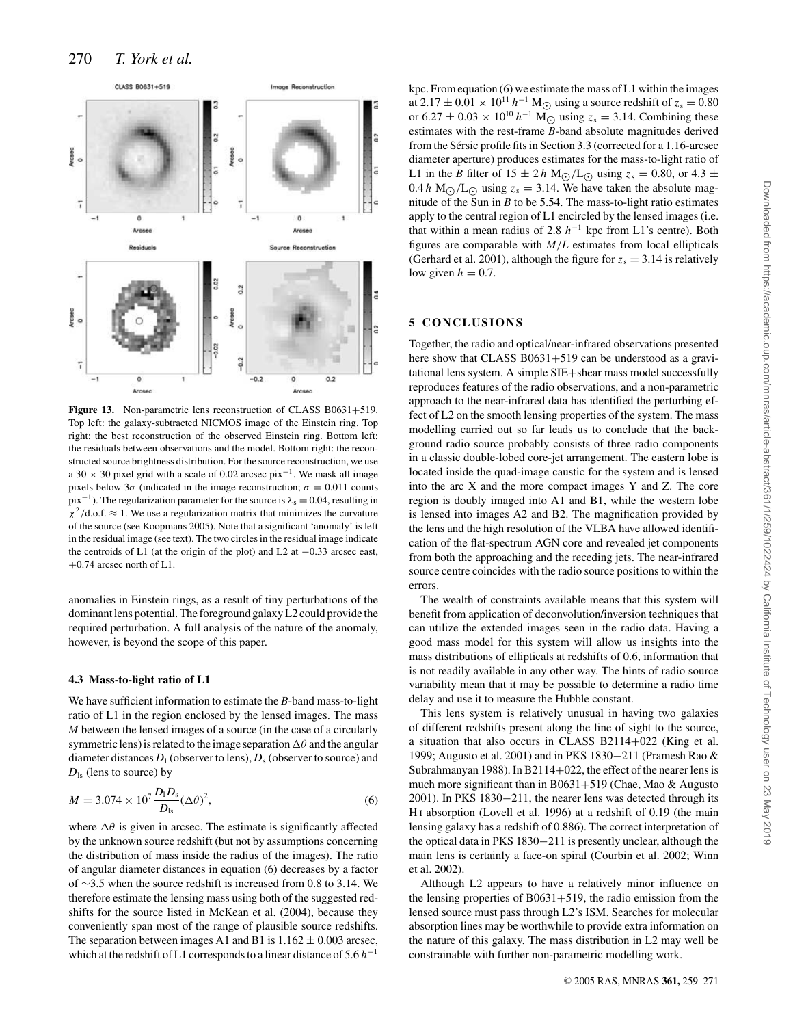

Figure 13. Non-parametric lens reconstruction of CLASS B0631+519. Top left: the galaxy-subtracted NICMOS image of the Einstein ring. Top right: the best reconstruction of the observed Einstein ring. Bottom left: the residuals between observations and the model. Bottom right: the reconstructed source brightness distribution. For the source reconstruction, we use a 30  $\times$  30 pixel grid with a scale of 0.02 arcsec pix<sup>-1</sup>. We mask all image pixels below  $3\sigma$  (indicated in the image reconstruction;  $\sigma = 0.011$  counts  $pix^{-1}$ ). The regularization parameter for the source is  $\lambda_s = 0.04$ , resulting in  $\chi^2$ /d.o.f.  $\approx$  1. We use a regularization matrix that minimizes the curvature of the source (see Koopmans 2005). Note that a significant 'anomaly' is left in the residual image (see text). The two circles in the residual image indicate the centroids of L1 (at the origin of the plot) and L2 at −0.33 arcsec east, +0.74 arcsec north of L1.

anomalies in Einstein rings, as a result of tiny perturbations of the dominant lens potential. The foreground galaxy L2 could provide the required perturbation. A full analysis of the nature of the anomaly, however, is beyond the scope of this paper.

#### **4.3 Mass-to-light ratio of L1**

We have sufficient information to estimate the *B*-band mass-to-light ratio of L1 in the region enclosed by the lensed images. The mass *M* between the lensed images of a source (in the case of a circularly symmetric lens) is related to the image separation  $\Delta\theta$  and the angular diameter distances  $D_1$  (observer to lens),  $D_s$  (observer to source) and  $D_{\rm ls}$  (lens to source) by

$$
M = 3.074 \times 10^7 \frac{D_1 D_s}{D_{\text{ls}}} (\Delta \theta)^2,
$$
 (6)

where  $\Delta\theta$  is given in arcsec. The estimate is significantly affected by the unknown source redshift (but not by assumptions concerning the distribution of mass inside the radius of the images). The ratio of angular diameter distances in equation (6) decreases by a factor of ∼3.5 when the source redshift is increased from 0.8 to 3.14. We therefore estimate the lensing mass using both of the suggested redshifts for the source listed in McKean et al. (2004), because they conveniently span most of the range of plausible source redshifts. The separation between images A1 and B1 is  $1.162 \pm 0.003$  arcsec, which at the redshift of L1 corresponds to a linear distance of 5.6 *h*−<sup>1</sup>

kpc. From equation (6) we estimate the mass of L1 within the images at  $2.17 \pm 0.01 \times 10^{11} h^{-1} M_{\odot}$  using a source redshift of  $z_s = 0.80$ or 6.27 ± 0.03 × 10<sup>10</sup>  $h^{-1}$  M<sub> $\odot$ </sub> using  $z_s = 3.14$ . Combining these estimates with the rest-frame *B*-band absolute magnitudes derived from the Sérsic profile fits in Section 3.3 (corrected for a 1.16-arcsec diameter aperture) produces estimates for the mass-to-light ratio of L1 in the *B* filter of  $15 \pm 2 h$  M<sub>O</sub>/L<sub>O</sub> using  $z_s = 0.80$ , or  $4.3 \pm$  $0.4 h \text{ M}_{\odot}/\text{L}_{\odot}$  using  $z_s = 3.14$ . We have taken the absolute magnitude of the Sun in *B* to be 5.54. The mass-to-light ratio estimates apply to the central region of L1 encircled by the lensed images (i.e. that within a mean radius of 2.8 *h*−<sup>1</sup> kpc from L1's centre). Both figures are comparable with *M*/*L* estimates from local ellipticals (Gerhard et al. 2001), although the figure for  $z_s = 3.14$  is relatively low given  $h = 0.7$ .

# **5 CONCLUSIONS**

Together, the radio and optical/near-infrared observations presented here show that CLASS B0631+519 can be understood as a gravitational lens system. A simple SIE+shear mass model successfully reproduces features of the radio observations, and a non-parametric approach to the near-infrared data has identified the perturbing effect of L2 on the smooth lensing properties of the system. The mass modelling carried out so far leads us to conclude that the background radio source probably consists of three radio components in a classic double-lobed core-jet arrangement. The eastern lobe is located inside the quad-image caustic for the system and is lensed into the arc X and the more compact images Y and Z. The core region is doubly imaged into A1 and B1, while the western lobe is lensed into images A2 and B2. The magnification provided by the lens and the high resolution of the VLBA have allowed identification of the flat-spectrum AGN core and revealed jet components from both the approaching and the receding jets. The near-infrared source centre coincides with the radio source positions to within the errors.

The wealth of constraints available means that this system will benefit from application of deconvolution/inversion techniques that can utilize the extended images seen in the radio data. Having a good mass model for this system will allow us insights into the mass distributions of ellipticals at redshifts of 0.6, information that is not readily available in any other way. The hints of radio source variability mean that it may be possible to determine a radio time delay and use it to measure the Hubble constant.

This lens system is relatively unusual in having two galaxies of different redshifts present along the line of sight to the source, a situation that also occurs in CLASS B2114+022 (King et al. 1999; Augusto et al. 2001) and in PKS 1830−211 (Pramesh Rao & Subrahmanyan 1988). In B2114+022, the effect of the nearer lens is much more significant than in B0631+519 (Chae, Mao & Augusto 2001). In PKS 1830−211, the nearer lens was detected through its H<sub>I</sub> absorption (Lovell et al. 1996) at a redshift of 0.19 (the main lensing galaxy has a redshift of 0.886). The correct interpretation of the optical data in PKS 1830−211 is presently unclear, although the main lens is certainly a face-on spiral (Courbin et al. 2002; Winn et al. 2002).

Although L2 appears to have a relatively minor influence on the lensing properties of  $B0631+519$ , the radio emission from the lensed source must pass through L2's ISM. Searches for molecular absorption lines may be worthwhile to provide extra information on the nature of this galaxy. The mass distribution in L2 may well be constrainable with further non-parametric modelling work.